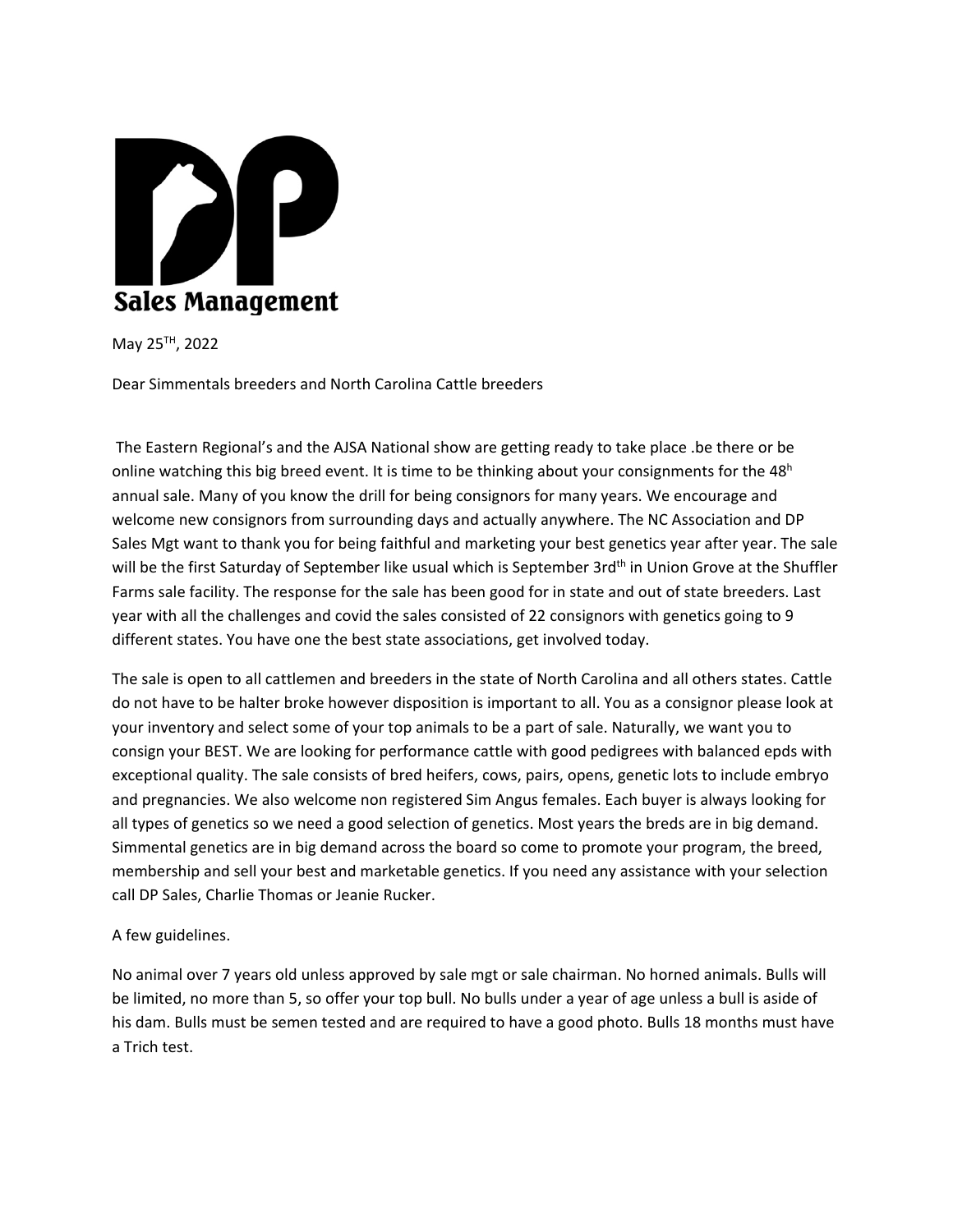

May 25TH, 2022

Dear Simmentals breeders and North Carolina Cattle breeders

The Eastern Regional's and the AJSA National show are getting ready to take place .be there or be online watching this big breed event. It is time to be thinking about your consignments for the  $48<sup>h</sup>$ annual sale. Many of you know the drill for being consignors for many years. We encourage and welcome new consignors from surrounding days and actually anywhere. The NC Association and DP Sales Mgt want to thank you for being faithful and marketing your best genetics year after year. The sale will be the first Saturday of September like usual which is September 3rd<sup>th</sup> in Union Grove at the Shuffler Farms sale facility. The response for the sale has been good for in state and out of state breeders. Last year with all the challenges and covid the sales consisted of 22 consignors with genetics going to 9 different states. You have one the best state associations, get involved today.

The sale is open to all cattlemen and breeders in the state of North Carolina and all others states. Cattle do not have to be halter broke however disposition is important to all. You as a consignor please look at your inventory and select some of your top animals to be a part of sale. Naturally, we want you to consign your BEST. We are looking for performance cattle with good pedigrees with balanced epds with exceptional quality. The sale consists of bred heifers, cows, pairs, opens, genetic lots to include embryo and pregnancies. We also welcome non registered Sim Angus females. Each buyer is always looking for all types of genetics so we need a good selection of genetics. Most years the breds are in big demand. Simmental genetics are in big demand across the board so come to promote your program, the breed, membership and sell your best and marketable genetics. If you need any assistance with your selection call DP Sales, Charlie Thomas or Jeanie Rucker.

A few guidelines.

No animal over 7 years old unless approved by sale mgt or sale chairman. No horned animals. Bulls will be limited, no more than 5, so offer your top bull. No bulls under a year of age unless a bull is aside of his dam. Bulls must be semen tested and are required to have a good photo. Bulls 18 months must have a Trich test.